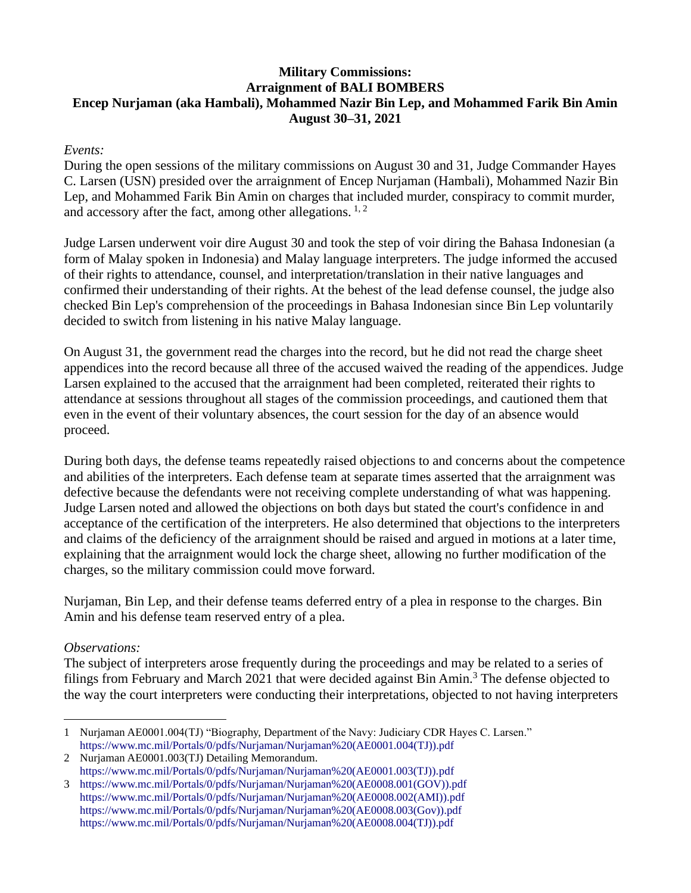## **Military Commissions: Arraignment of BALI BOMBERS Encep Nurjaman (aka Hambali), Mohammed Nazir Bin Lep, and Mohammed Farik Bin Amin August 30–31, 2021**

## *Events:*

During the open sessions of the military commissions on August 30 and 31, Judge Commander Hayes C. Larsen (USN) presided over the arraignment of Encep Nurjaman (Hambali), Mohammed Nazir Bin Lep, and Mohammed Farik Bin Amin on charges that included murder, conspiracy to commit murder, and accessory after the fact, among other allegations.  $1, 2$ 

Judge Larsen underwent voir dire August 30 and took the step of voir diring the Bahasa Indonesian (a form of Malay spoken in Indonesia) and Malay language interpreters. The judge informed the accused of their rights to attendance, counsel, and interpretation/translation in their native languages and confirmed their understanding of their rights. At the behest of the lead defense counsel, the judge also checked Bin Lep's comprehension of the proceedings in Bahasa Indonesian since Bin Lep voluntarily decided to switch from listening in his native Malay language.

On August 31, the government read the charges into the record, but he did not read the charge sheet appendices into the record because all three of the accused waived the reading of the appendices. Judge Larsen explained to the accused that the arraignment had been completed, reiterated their rights to attendance at sessions throughout all stages of the commission proceedings, and cautioned them that even in the event of their voluntary absences, the court session for the day of an absence would proceed.

During both days, the defense teams repeatedly raised objections to and concerns about the competence and abilities of the interpreters. Each defense team at separate times asserted that the arraignment was defective because the defendants were not receiving complete understanding of what was happening. Judge Larsen noted and allowed the objections on both days but stated the court's confidence in and acceptance of the certification of the interpreters. He also determined that objections to the interpreters and claims of the deficiency of the arraignment should be raised and argued in motions at a later time, explaining that the arraignment would lock the charge sheet, allowing no further modification of the charges, so the military commission could move forward.

Nurjaman, Bin Lep, and their defense teams deferred entry of a plea in response to the charges. Bin Amin and his defense team reserved entry of a plea.

## *Observations:*

The subject of interpreters arose frequently during the proceedings and may be related to a series of filings from February and March 2021 that were decided against Bin Amin.<sup>3</sup> The defense objected to the way the court interpreters were conducting their interpretations, objected to not having interpreters

<sup>1</sup> Nurjaman AE0001.004(TJ) "Biography, Department of the Navy: Judiciary CDR Hayes C. Larsen." [https://www.mc.mil/Portals/0/pdfs/Nurjaman/Nurjaman%20\(AE0001.004\(TJ\)\).pdf](https://www.mc.mil/Portals/0/pdfs/Nurjaman/Nurjaman%20(AE0001.004(TJ)).pdf)

<sup>2</sup> Nurjaman AE0001.003(TJ) Detailing Memorandum. [https://www.mc.mil/Portals/0/pdfs/Nurjaman/Nurjaman%20\(AE0001.003\(TJ\)\).pdf](https://www.mc.mil/Portals/0/pdfs/Nurjaman/Nurjaman%20(AE0001.003(TJ)).pdf)

<sup>3</sup> [https://www.mc.mil/Portals/0/pdfs/Nurjaman/Nurjaman%20\(AE0008.001\(GOV\)\).pdf](https://www.mc.mil/Portals/0/pdfs/Nurjaman/Nurjaman%20(AE0008.001(GOV)).pdf) [https://www.mc.mil/Portals/0/pdfs/Nurjaman/Nurjaman%20\(AE0008.002\(AMI\)\).pdf](https://www.mc.mil/Portals/0/pdfs/Nurjaman/Nurjaman%20(AE0008.002(AMI)).pdf) [https://www.mc.mil/Portals/0/pdfs/Nurjaman/Nurjaman%20\(AE0008.003\(Gov\)\).pdf](https://www.mc.mil/Portals/0/pdfs/Nurjaman/Nurjaman%20(AE0008.003(Gov)).pdf)  [https://www.mc.mil/Portals/0/pdfs/Nurjaman/Nurjaman%20\(AE0008.004\(TJ\)\).pdf](https://www.mc.mil/Portals/0/pdfs/Nurjaman/Nurjaman%20(AE0008.004(TJ)).pdf)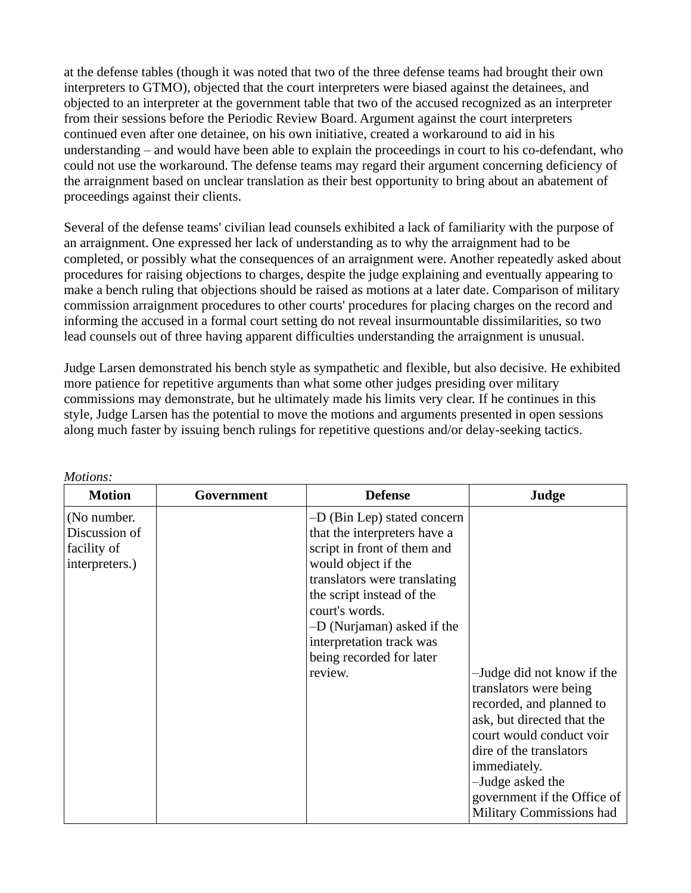at the defense tables (though it was noted that two of the three defense teams had brought their own interpreters to GTMO), objected that the court interpreters were biased against the detainees, and objected to an interpreter at the government table that two of the accused recognized as an interpreter from their sessions before the Periodic Review Board. Argument against the court interpreters continued even after one detainee, on his own initiative, created a workaround to aid in his understanding – and would have been able to explain the proceedings in court to his co-defendant, who could not use the workaround. The defense teams may regard their argument concerning deficiency of the arraignment based on unclear translation as their best opportunity to bring about an abatement of proceedings against their clients.

Several of the defense teams' civilian lead counsels exhibited a lack of familiarity with the purpose of an arraignment. One expressed her lack of understanding as to why the arraignment had to be completed, or possibly what the consequences of an arraignment were. Another repeatedly asked about procedures for raising objections to charges, despite the judge explaining and eventually appearing to make a bench ruling that objections should be raised as motions at a later date. Comparison of military commission arraignment procedures to other courts' procedures for placing charges on the record and informing the accused in a formal court setting do not reveal insurmountable dissimilarities, so two lead counsels out of three having apparent difficulties understanding the arraignment is unusual.

Judge Larsen demonstrated his bench style as sympathetic and flexible, but also decisive. He exhibited more patience for repetitive arguments than what some other judges presiding over military commissions may demonstrate, but he ultimately made his limits very clear. If he continues in this style, Judge Larsen has the potential to move the motions and arguments presented in open sessions along much faster by issuing bench rulings for repetitive questions and/or delay-seeking tactics.

| <b>Motion</b>                                                 | Government | <b>Defense</b>                                                                                                                                                                                                                                                                                    | Judge                                                                                                                                                                                                                                                                |
|---------------------------------------------------------------|------------|---------------------------------------------------------------------------------------------------------------------------------------------------------------------------------------------------------------------------------------------------------------------------------------------------|----------------------------------------------------------------------------------------------------------------------------------------------------------------------------------------------------------------------------------------------------------------------|
| (No number.<br>Discussion of<br>facility of<br>interpreters.) |            | -D (Bin Lep) stated concern<br>that the interpreters have a<br>script in front of them and<br>would object if the<br>translators were translating<br>the script instead of the<br>court's words.<br>-D (Nurjaman) asked if the<br>interpretation track was<br>being recorded for later<br>review. | -Judge did not know if the<br>translators were being<br>recorded, and planned to<br>ask, but directed that the<br>court would conduct voir<br>dire of the translators<br>immediately.<br>-Judge asked the<br>government if the Office of<br>Military Commissions had |

*Motions:*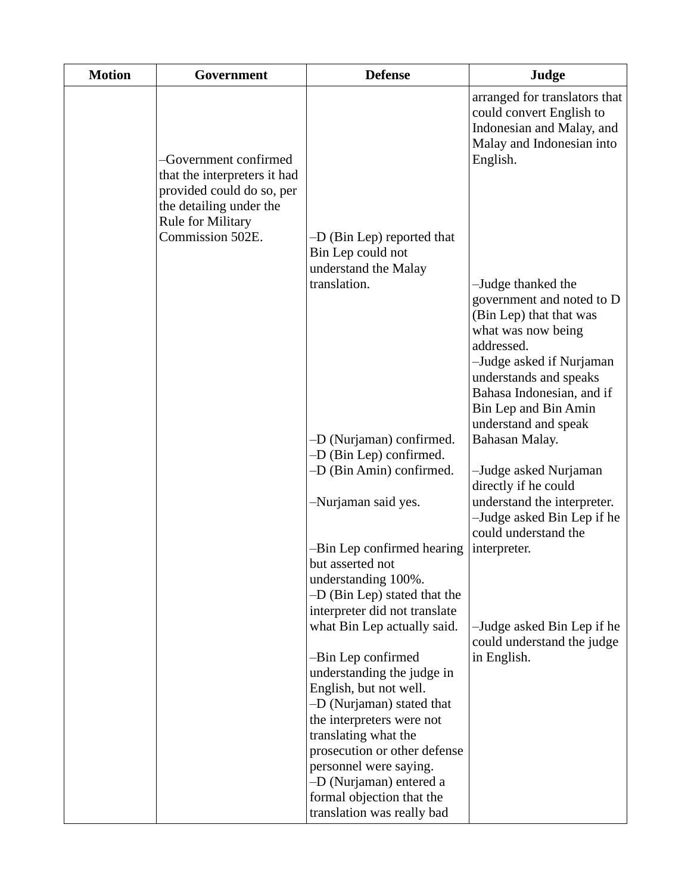| <b>Motion</b> | Government                                                                                                                                                    | <b>Defense</b>                                                                                                                           | Judge                                                                                                                                                                                                                                             |
|---------------|---------------------------------------------------------------------------------------------------------------------------------------------------------------|------------------------------------------------------------------------------------------------------------------------------------------|---------------------------------------------------------------------------------------------------------------------------------------------------------------------------------------------------------------------------------------------------|
|               | -Government confirmed<br>that the interpreters it had<br>provided could do so, per<br>the detailing under the<br><b>Rule for Military</b><br>Commission 502E. |                                                                                                                                          | arranged for translators that<br>could convert English to<br>Indonesian and Malay, and<br>Malay and Indonesian into<br>English.                                                                                                                   |
|               |                                                                                                                                                               | -D (Bin Lep) reported that<br>Bin Lep could not<br>understand the Malay<br>translation.                                                  | -Judge thanked the<br>government and noted to D<br>(Bin Lep) that that was<br>what was now being<br>addressed.<br>-Judge asked if Nurjaman<br>understands and speaks<br>Bahasa Indonesian, and if<br>Bin Lep and Bin Amin<br>understand and speak |
|               |                                                                                                                                                               | -D (Nurjaman) confirmed.<br>$-D$ (Bin Lep) confirmed.<br>-D (Bin Amin) confirmed.                                                        | Bahasan Malay.<br>-Judge asked Nurjaman                                                                                                                                                                                                           |
|               |                                                                                                                                                               | -Nurjaman said yes.                                                                                                                      | directly if he could<br>understand the interpreter.<br>-Judge asked Bin Lep if he<br>could understand the                                                                                                                                         |
|               |                                                                                                                                                               | -Bin Lep confirmed hearing<br>but asserted not<br>understanding 100%.<br>$-D$ (Bin Lep) stated that the<br>interpreter did not translate | interpreter.                                                                                                                                                                                                                                      |
|               |                                                                                                                                                               | what Bin Lep actually said.<br>-Bin Lep confirmed                                                                                        | -Judge asked Bin Lep if he<br>could understand the judge<br>in English.                                                                                                                                                                           |
|               |                                                                                                                                                               | understanding the judge in<br>English, but not well.<br>-D (Nurjaman) stated that                                                        |                                                                                                                                                                                                                                                   |
|               |                                                                                                                                                               | the interpreters were not<br>translating what the<br>prosecution or other defense<br>personnel were saying.                              |                                                                                                                                                                                                                                                   |
|               |                                                                                                                                                               | -D (Nurjaman) entered a<br>formal objection that the<br>translation was really bad                                                       |                                                                                                                                                                                                                                                   |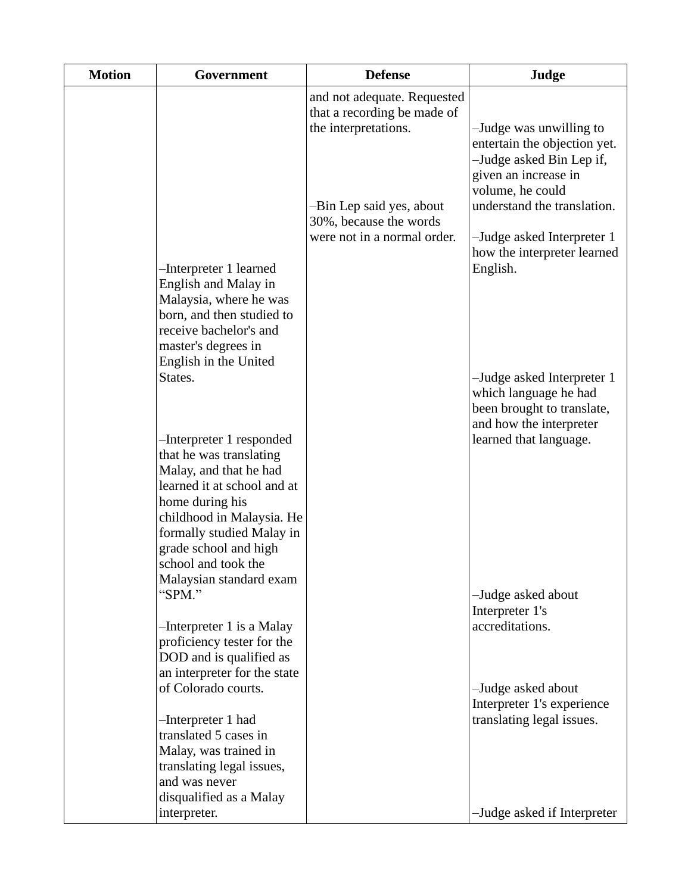| <b>Motion</b> | Government                                                                                                                        | <b>Defense</b>                                                                     | Judge                                                                                                                           |
|---------------|-----------------------------------------------------------------------------------------------------------------------------------|------------------------------------------------------------------------------------|---------------------------------------------------------------------------------------------------------------------------------|
|               |                                                                                                                                   | and not adequate. Requested<br>that a recording be made of<br>the interpretations. | -Judge was unwilling to<br>entertain the objection yet.<br>-Judge asked Bin Lep if,<br>given an increase in<br>volume, he could |
|               |                                                                                                                                   | -Bin Lep said yes, about<br>30%, because the words                                 | understand the translation.                                                                                                     |
|               | -Interpreter 1 learned<br>English and Malay in                                                                                    | were not in a normal order.                                                        | -Judge asked Interpreter 1<br>how the interpreter learned<br>English.                                                           |
|               | Malaysia, where he was<br>born, and then studied to<br>receive bachelor's and<br>master's degrees in                              |                                                                                    |                                                                                                                                 |
|               | English in the United<br>States.                                                                                                  |                                                                                    | -Judge asked Interpreter 1<br>which language he had<br>been brought to translate,<br>and how the interpreter                    |
|               | -Interpreter 1 responded<br>that he was translating<br>Malay, and that he had<br>learned it at school and at<br>home during his   |                                                                                    | learned that language.                                                                                                          |
|               | childhood in Malaysia. He<br>formally studied Malay in<br>grade school and high<br>school and took the<br>Malaysian standard exam |                                                                                    |                                                                                                                                 |
|               | "SPM."                                                                                                                            |                                                                                    | -Judge asked about<br>Interpreter 1's                                                                                           |
|               | -Interpreter 1 is a Malay<br>proficiency tester for the<br>DOD and is qualified as<br>an interpreter for the state                |                                                                                    | accreditations.                                                                                                                 |
|               | of Colorado courts.                                                                                                               |                                                                                    | -Judge asked about<br>Interpreter 1's experience                                                                                |
|               | -Interpreter 1 had<br>translated 5 cases in<br>Malay, was trained in<br>translating legal issues,                                 |                                                                                    | translating legal issues.                                                                                                       |
|               | and was never<br>disqualified as a Malay                                                                                          |                                                                                    |                                                                                                                                 |
|               | interpreter.                                                                                                                      |                                                                                    | -Judge asked if Interpreter                                                                                                     |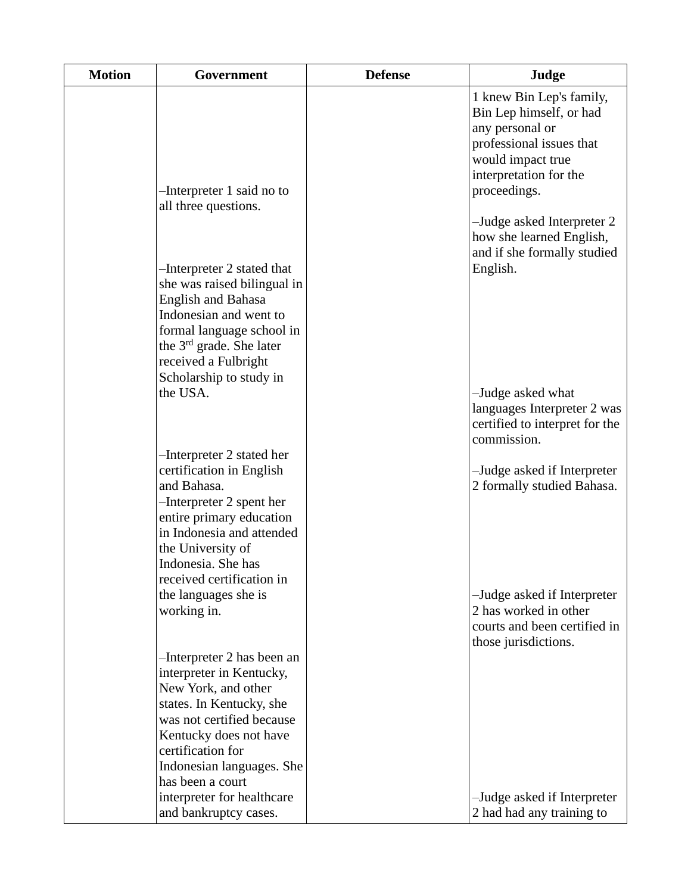| <b>Motion</b> | Government                                                                                                                                                                                                                             | <b>Defense</b> | Judge                                                                                                                                                             |
|---------------|----------------------------------------------------------------------------------------------------------------------------------------------------------------------------------------------------------------------------------------|----------------|-------------------------------------------------------------------------------------------------------------------------------------------------------------------|
|               | -Interpreter 1 said no to<br>all three questions.                                                                                                                                                                                      |                | 1 knew Bin Lep's family,<br>Bin Lep himself, or had<br>any personal or<br>professional issues that<br>would impact true<br>interpretation for the<br>proceedings. |
|               | -Interpreter 2 stated that<br>she was raised bilingual in<br><b>English and Bahasa</b><br>Indonesian and went to<br>formal language school in<br>the 3 <sup>rd</sup> grade. She later                                                  |                | -Judge asked Interpreter 2<br>how she learned English,<br>and if she formally studied<br>English.                                                                 |
|               | received a Fulbright<br>Scholarship to study in<br>the USA.<br>-Interpreter 2 stated her                                                                                                                                               |                | -Judge asked what<br>languages Interpreter 2 was<br>certified to interpret for the<br>commission.                                                                 |
|               | certification in English<br>and Bahasa.<br>-Interpreter 2 spent her<br>entire primary education<br>in Indonesia and attended<br>the University of<br>Indonesia. She has<br>received certification in                                   |                | -Judge asked if Interpreter<br>2 formally studied Bahasa.                                                                                                         |
|               | the languages she is<br>working in.                                                                                                                                                                                                    |                | -Judge asked if Interpreter<br>2 has worked in other<br>courts and been certified in<br>those jurisdictions.                                                      |
|               | -Interpreter 2 has been an<br>interpreter in Kentucky,<br>New York, and other<br>states. In Kentucky, she<br>was not certified because<br>Kentucky does not have<br>certification for<br>Indonesian languages. She<br>has been a court |                |                                                                                                                                                                   |
|               | interpreter for healthcare<br>and bankruptcy cases.                                                                                                                                                                                    |                | -Judge asked if Interpreter<br>2 had had any training to                                                                                                          |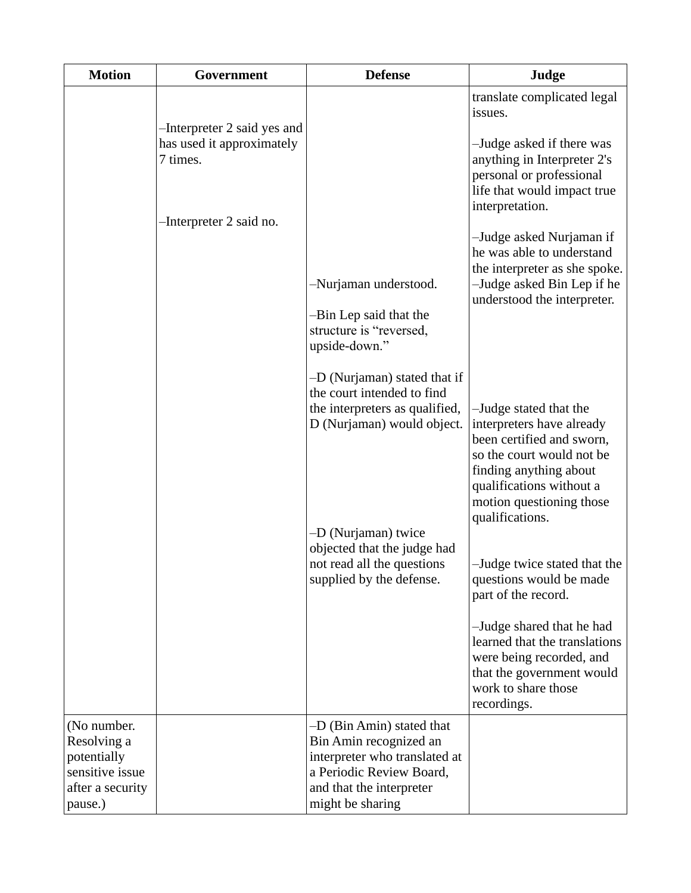| <b>Motion</b>                                                                               | Government                                                                                      | <b>Defense</b>                                                                                                                                                                                                                             | Judge                                                                                                                                                                                                                                                                                                                                                                                                                                                             |
|---------------------------------------------------------------------------------------------|-------------------------------------------------------------------------------------------------|--------------------------------------------------------------------------------------------------------------------------------------------------------------------------------------------------------------------------------------------|-------------------------------------------------------------------------------------------------------------------------------------------------------------------------------------------------------------------------------------------------------------------------------------------------------------------------------------------------------------------------------------------------------------------------------------------------------------------|
|                                                                                             | -Interpreter 2 said yes and<br>has used it approximately<br>7 times.<br>-Interpreter 2 said no. | -Nurjaman understood.<br>-Bin Lep said that the<br>structure is "reversed,<br>upside-down."                                                                                                                                                | translate complicated legal<br>issues.<br>-Judge asked if there was<br>anything in Interpreter 2's<br>personal or professional<br>life that would impact true<br>interpretation.<br>-Judge asked Nurjaman if<br>he was able to understand<br>the interpreter as she spoke.<br>-Judge asked Bin Lep if he<br>understood the interpreter.                                                                                                                           |
|                                                                                             |                                                                                                 | -D (Nurjaman) stated that if<br>the court intended to find<br>the interpreters as qualified,<br>D (Nurjaman) would object.<br>-D (Nurjaman) twice<br>objected that the judge had<br>not read all the questions<br>supplied by the defense. | -Judge stated that the<br>interpreters have already<br>been certified and sworn,<br>so the court would not be<br>finding anything about<br>qualifications without a<br>motion questioning those<br>qualifications.<br>-Judge twice stated that the<br>questions would be made<br>part of the record.<br>-Judge shared that he had<br>learned that the translations<br>were being recorded, and<br>that the government would<br>work to share those<br>recordings. |
| (No number.<br>Resolving a<br>potentially<br>sensitive issue<br>after a security<br>pause.) |                                                                                                 | -D (Bin Amin) stated that<br>Bin Amin recognized an<br>interpreter who translated at<br>a Periodic Review Board,<br>and that the interpreter<br>might be sharing                                                                           |                                                                                                                                                                                                                                                                                                                                                                                                                                                                   |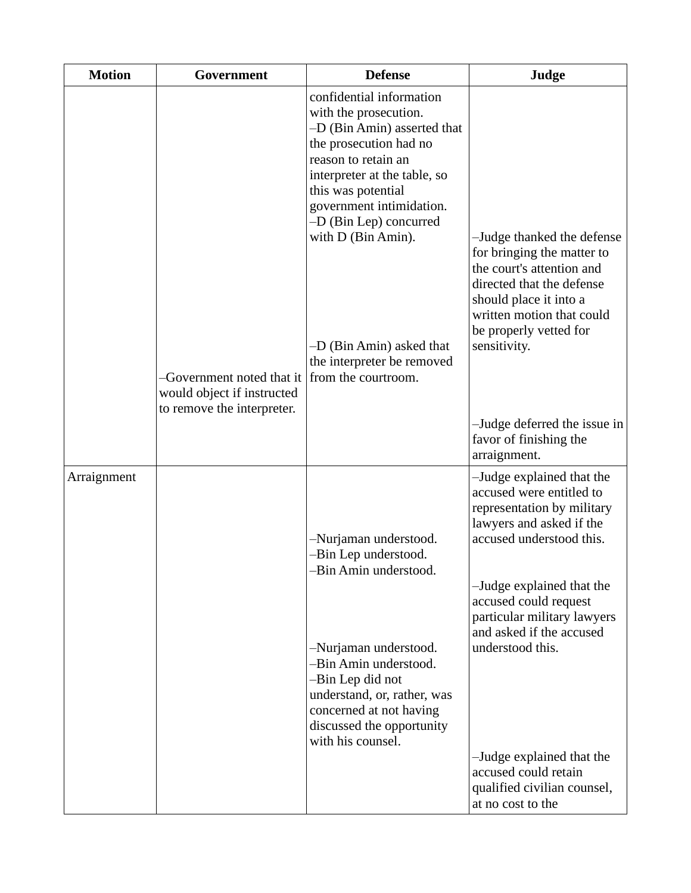| <b>Motion</b> | Government                                                                            | <b>Defense</b>                                                                                                                                                                                                                                                                                                                                       | Judge                                                                                                                                                                                                                                                                                                                                                                                     |
|---------------|---------------------------------------------------------------------------------------|------------------------------------------------------------------------------------------------------------------------------------------------------------------------------------------------------------------------------------------------------------------------------------------------------------------------------------------------------|-------------------------------------------------------------------------------------------------------------------------------------------------------------------------------------------------------------------------------------------------------------------------------------------------------------------------------------------------------------------------------------------|
|               | -Government noted that it<br>would object if instructed<br>to remove the interpreter. | confidential information<br>with the prosecution.<br>-D (Bin Amin) asserted that<br>the prosecution had no<br>reason to retain an<br>interpreter at the table, so<br>this was potential<br>government intimidation.<br>-D (Bin Lep) concurred<br>with D (Bin Amin).<br>-D (Bin Amin) asked that<br>the interpreter be removed<br>from the courtroom. | -Judge thanked the defense<br>for bringing the matter to<br>the court's attention and<br>directed that the defense<br>should place it into a<br>written motion that could<br>be properly vetted for<br>sensitivity.<br>-Judge deferred the issue in<br>favor of finishing the<br>arraignment.                                                                                             |
| Arraignment   |                                                                                       | -Nurjaman understood.<br>-Bin Lep understood.<br>-Bin Amin understood.<br>-Nurjaman understood.<br>-Bin Amin understood.<br>-Bin Lep did not<br>understand, or, rather, was<br>concerned at not having<br>discussed the opportunity<br>with his counsel.                                                                                             | -Judge explained that the<br>accused were entitled to<br>representation by military<br>lawyers and asked if the<br>accused understood this.<br>-Judge explained that the<br>accused could request<br>particular military lawyers<br>and asked if the accused<br>understood this.<br>-Judge explained that the<br>accused could retain<br>qualified civilian counsel,<br>at no cost to the |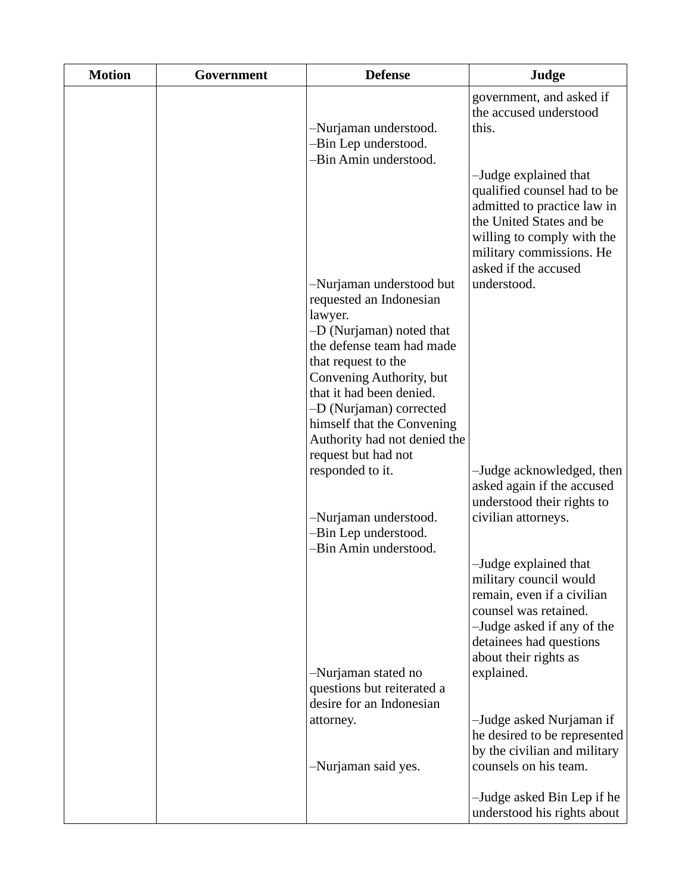| <b>Motion</b> | Government | <b>Defense</b>                                                                  | Judge                                                                                                                                                                                             |
|---------------|------------|---------------------------------------------------------------------------------|---------------------------------------------------------------------------------------------------------------------------------------------------------------------------------------------------|
|               |            | -Nurjaman understood.<br>-Bin Lep understood.                                   | government, and asked if<br>the accused understood<br>this.                                                                                                                                       |
|               |            | -Bin Amin understood.                                                           | -Judge explained that<br>qualified counsel had to be<br>admitted to practice law in<br>the United States and be<br>willing to comply with the<br>military commissions. He<br>asked if the accused |
|               |            | -Nurjaman understood but<br>requested an Indonesian<br>lawyer.                  | understood.                                                                                                                                                                                       |
|               |            | -D (Nurjaman) noted that<br>the defense team had made<br>that request to the    |                                                                                                                                                                                                   |
|               |            | Convening Authority, but<br>that it had been denied.<br>-D (Nurjaman) corrected |                                                                                                                                                                                                   |
|               |            | himself that the Convening<br>Authority had not denied the                      |                                                                                                                                                                                                   |
|               |            | request but had not<br>responded to it.                                         | -Judge acknowledged, then<br>asked again if the accused<br>understood their rights to                                                                                                             |
|               |            | -Nurjaman understood.<br>-Bin Lep understood.<br>-Bin Amin understood.          | civilian attorneys.                                                                                                                                                                               |
|               |            |                                                                                 | -Judge explained that<br>military council would<br>remain, even if a civilian<br>counsel was retained.<br>-Judge asked if any of the<br>detainees had questions<br>about their rights as          |
|               |            | -Nurjaman stated no<br>questions but reiterated a<br>desire for an Indonesian   | explained.                                                                                                                                                                                        |
|               |            | attorney.<br>-Nurjaman said yes.                                                | -Judge asked Nurjaman if<br>he desired to be represented<br>by the civilian and military<br>counsels on his team.                                                                                 |
|               |            |                                                                                 | -Judge asked Bin Lep if he<br>understood his rights about                                                                                                                                         |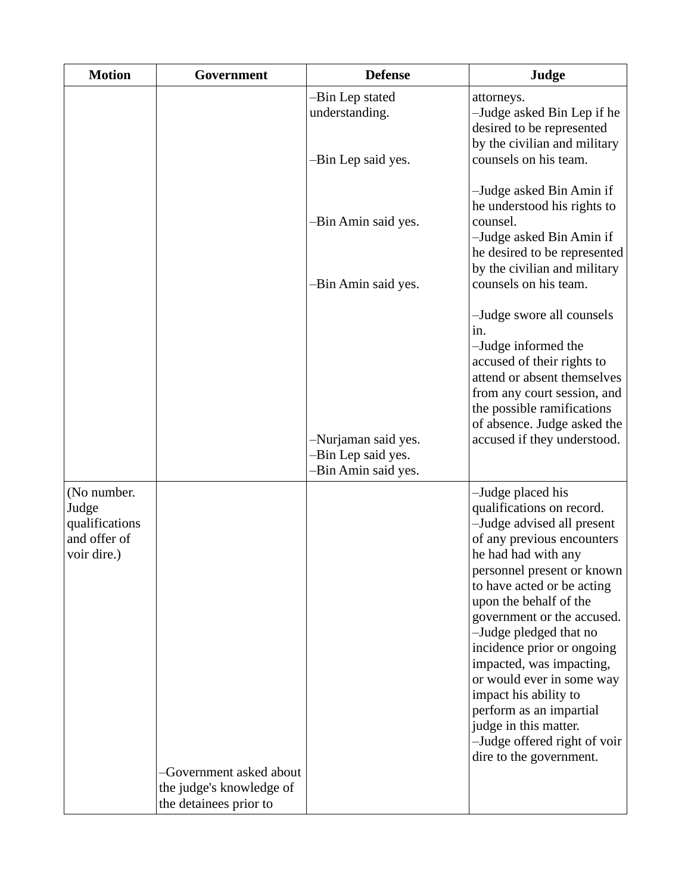| <b>Motion</b>                                                         | Government                                                                    | <b>Defense</b>                                                   | Judge                                                                                                                                                                                                                                                                                                                                                                                                                                                                                                          |
|-----------------------------------------------------------------------|-------------------------------------------------------------------------------|------------------------------------------------------------------|----------------------------------------------------------------------------------------------------------------------------------------------------------------------------------------------------------------------------------------------------------------------------------------------------------------------------------------------------------------------------------------------------------------------------------------------------------------------------------------------------------------|
|                                                                       |                                                                               | -Bin Lep stated<br>understanding.                                | attorneys.<br>-Judge asked Bin Lep if he<br>desired to be represented<br>by the civilian and military                                                                                                                                                                                                                                                                                                                                                                                                          |
|                                                                       |                                                                               | -Bin Lep said yes.                                               | counsels on his team.                                                                                                                                                                                                                                                                                                                                                                                                                                                                                          |
|                                                                       |                                                                               | -Bin Amin said yes.<br>-Bin Amin said yes.                       | -Judge asked Bin Amin if<br>he understood his rights to<br>counsel.<br>-Judge asked Bin Amin if<br>he desired to be represented<br>by the civilian and military<br>counsels on his team.                                                                                                                                                                                                                                                                                                                       |
|                                                                       |                                                                               | -Nurjaman said yes.<br>-Bin Lep said yes.<br>-Bin Amin said yes. | -Judge swore all counsels<br>1n.<br>-Judge informed the<br>accused of their rights to<br>attend or absent themselves<br>from any court session, and<br>the possible ramifications<br>of absence. Judge asked the<br>accused if they understood.                                                                                                                                                                                                                                                                |
| (No number.<br>Judge<br>qualifications<br>and offer of<br>voir dire.) | -Government asked about<br>the judge's knowledge of<br>the detainees prior to |                                                                  | -Judge placed his<br>qualifications on record.<br>-Judge advised all present<br>of any previous encounters<br>he had had with any<br>personnel present or known<br>to have acted or be acting<br>upon the behalf of the<br>government or the accused.<br>-Judge pledged that no<br>incidence prior or ongoing<br>impacted, was impacting,<br>or would ever in some way<br>impact his ability to<br>perform as an impartial<br>judge in this matter.<br>-Judge offered right of voir<br>dire to the government. |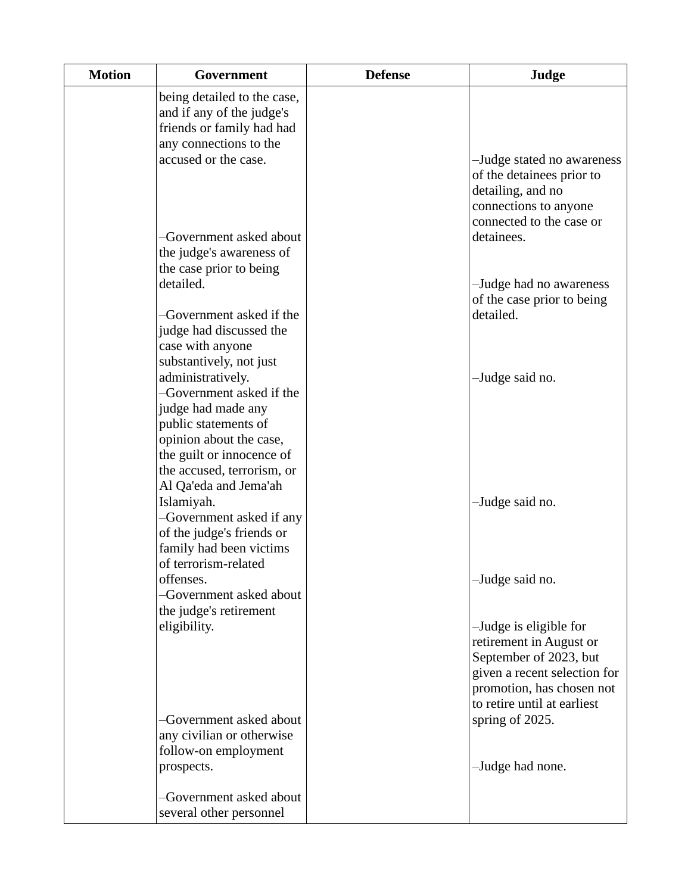| <b>Motion</b> | Government                                                                                                                                                                                                 | <b>Defense</b> | Judge                                                                                                                                                                   |
|---------------|------------------------------------------------------------------------------------------------------------------------------------------------------------------------------------------------------------|----------------|-------------------------------------------------------------------------------------------------------------------------------------------------------------------------|
|               | being detailed to the case,<br>and if any of the judge's<br>friends or family had had<br>any connections to the<br>accused or the case.                                                                    |                | -Judge stated no awareness<br>of the detainees prior to<br>detailing, and no                                                                                            |
|               | -Government asked about<br>the judge's awareness of<br>the case prior to being                                                                                                                             |                | connections to anyone<br>connected to the case or<br>detainees.                                                                                                         |
|               | detailed.<br>-Government asked if the<br>judge had discussed the<br>case with anyone<br>substantively, not just                                                                                            |                | -Judge had no awareness<br>of the case prior to being<br>detailed.                                                                                                      |
|               | administratively.<br>-Government asked if the<br>judge had made any<br>public statements of<br>opinion about the case,<br>the guilt or innocence of<br>the accused, terrorism, or<br>Al Qa'eda and Jema'ah |                | -Judge said no.                                                                                                                                                         |
|               | Islamiyah.<br>-Government asked if any<br>of the judge's friends or<br>family had been victims<br>of terrorism-related                                                                                     |                | -Judge said no.                                                                                                                                                         |
|               | offenses.<br>-Government asked about<br>the judge's retirement                                                                                                                                             |                | -Judge said no.                                                                                                                                                         |
|               | eligibility.                                                                                                                                                                                               |                | -Judge is eligible for<br>retirement in August or<br>September of 2023, but<br>given a recent selection for<br>promotion, has chosen not<br>to retire until at earliest |
|               | -Government asked about<br>any civilian or otherwise<br>follow-on employment<br>prospects.                                                                                                                 |                | spring of 2025.<br>-Judge had none.                                                                                                                                     |
|               | -Government asked about<br>several other personnel                                                                                                                                                         |                |                                                                                                                                                                         |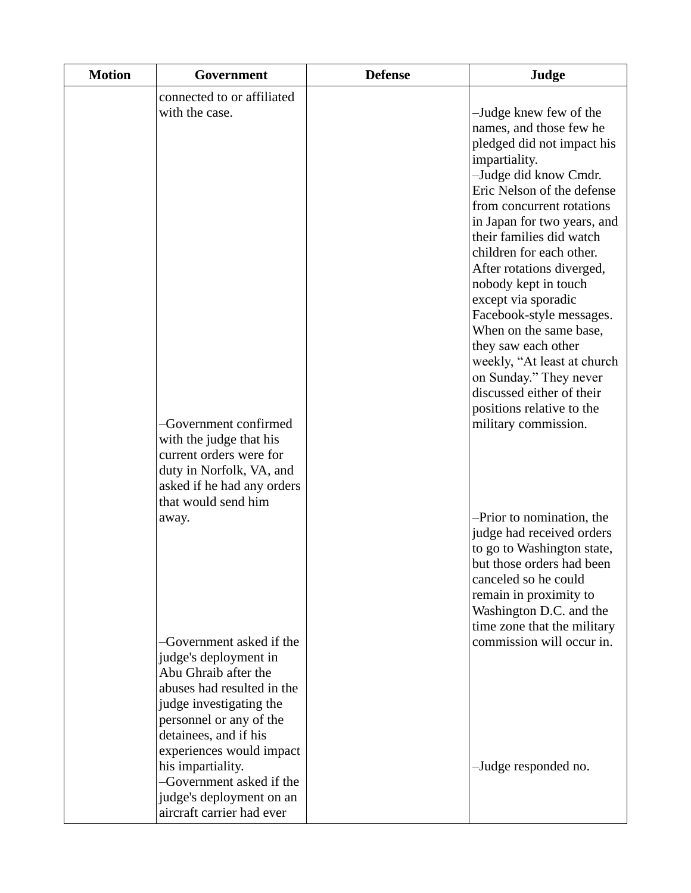| <b>Motion</b> | Government                                                                                                                                                                                                                                                                                       | <b>Defense</b> | Judge                                                                                                                                                                                                                                                                                                                                                                                                                                                                                                                                                                           |
|---------------|--------------------------------------------------------------------------------------------------------------------------------------------------------------------------------------------------------------------------------------------------------------------------------------------------|----------------|---------------------------------------------------------------------------------------------------------------------------------------------------------------------------------------------------------------------------------------------------------------------------------------------------------------------------------------------------------------------------------------------------------------------------------------------------------------------------------------------------------------------------------------------------------------------------------|
|               | connected to or affiliated<br>with the case.<br>-Government confirmed<br>with the judge that his<br>current orders were for                                                                                                                                                                      |                | -Judge knew few of the<br>names, and those few he<br>pledged did not impact his<br>impartiality.<br>-Judge did know Cmdr.<br>Eric Nelson of the defense<br>from concurrent rotations<br>in Japan for two years, and<br>their families did watch<br>children for each other.<br>After rotations diverged,<br>nobody kept in touch<br>except via sporadic<br>Facebook-style messages.<br>When on the same base,<br>they saw each other<br>weekly, "At least at church<br>on Sunday." They never<br>discussed either of their<br>positions relative to the<br>military commission. |
|               | duty in Norfolk, VA, and<br>asked if he had any orders<br>that would send him<br>away.<br>-Government asked if the                                                                                                                                                                               |                | -Prior to nomination, the<br>judge had received orders<br>to go to Washington state,<br>but those orders had been<br>canceled so he could<br>remain in proximity to<br>Washington D.C. and the<br>time zone that the military<br>commission will occur in.                                                                                                                                                                                                                                                                                                                      |
|               | judge's deployment in<br>Abu Ghraib after the<br>abuses had resulted in the<br>judge investigating the<br>personnel or any of the<br>detainees, and if his<br>experiences would impact<br>his impartiality.<br>-Government asked if the<br>judge's deployment on an<br>aircraft carrier had ever |                | -Judge responded no.                                                                                                                                                                                                                                                                                                                                                                                                                                                                                                                                                            |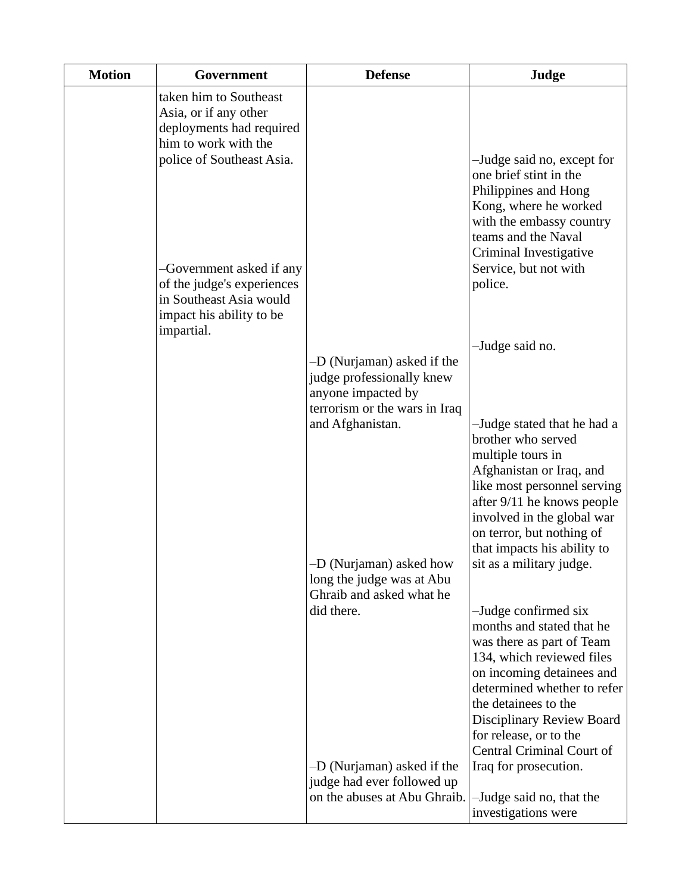| <b>Motion</b> | Government                                                                                                                                                                                 | <b>Defense</b>                                                                                                 | Judge                                                                                                                                                                                                                                                                                                        |
|---------------|--------------------------------------------------------------------------------------------------------------------------------------------------------------------------------------------|----------------------------------------------------------------------------------------------------------------|--------------------------------------------------------------------------------------------------------------------------------------------------------------------------------------------------------------------------------------------------------------------------------------------------------------|
|               | taken him to Southeast<br>Asia, or if any other<br>deployments had required<br>him to work with the<br>police of Southeast Asia.<br>-Government asked if any<br>of the judge's experiences |                                                                                                                | -Judge said no, except for<br>one brief stint in the<br>Philippines and Hong<br>Kong, where he worked<br>with the embassy country<br>teams and the Naval<br>Criminal Investigative<br>Service, but not with<br>police.                                                                                       |
|               | in Southeast Asia would<br>impact his ability to be<br>impartial.                                                                                                                          |                                                                                                                |                                                                                                                                                                                                                                                                                                              |
|               |                                                                                                                                                                                            |                                                                                                                | -Judge said no.                                                                                                                                                                                                                                                                                              |
|               |                                                                                                                                                                                            | -D (Nurjaman) asked if the<br>judge professionally knew<br>anyone impacted by<br>terrorism or the wars in Iraq |                                                                                                                                                                                                                                                                                                              |
|               |                                                                                                                                                                                            | and Afghanistan.                                                                                               | -Judge stated that he had a<br>brother who served<br>multiple tours in<br>Afghanistan or Iraq, and<br>like most personnel serving<br>after 9/11 he knows people<br>involved in the global war<br>on terror, but nothing of<br>that impacts his ability to                                                    |
|               |                                                                                                                                                                                            | D (Nurjaman) asked how<br>long the judge was at Abu                                                            | sit as a military judge.                                                                                                                                                                                                                                                                                     |
|               |                                                                                                                                                                                            | Ghraib and asked what he<br>did there.<br>-D (Nurjaman) asked if the                                           | -Judge confirmed six<br>months and stated that he<br>was there as part of Team<br>134, which reviewed files<br>on incoming detainees and<br>determined whether to refer<br>the detainees to the<br>Disciplinary Review Board<br>for release, or to the<br>Central Criminal Court of<br>Iraq for prosecution. |
|               |                                                                                                                                                                                            | judge had ever followed up<br>on the abuses at Abu Ghraib.                                                     | -Judge said no, that the<br>investigations were                                                                                                                                                                                                                                                              |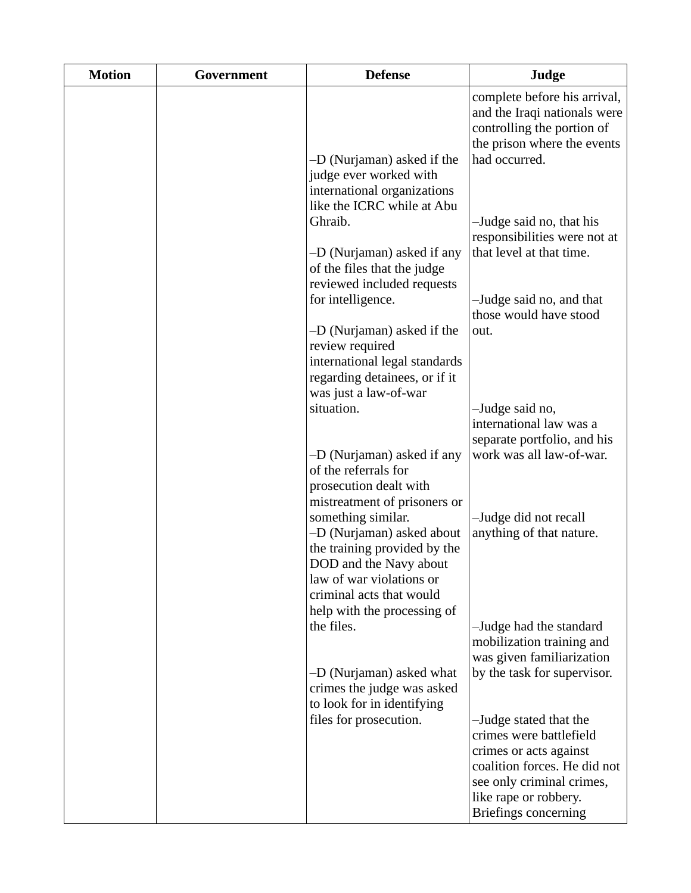| <b>Motion</b> | Government | <b>Defense</b>                                                                                                                              | Judge                                                                                                                                                                                     |
|---------------|------------|---------------------------------------------------------------------------------------------------------------------------------------------|-------------------------------------------------------------------------------------------------------------------------------------------------------------------------------------------|
|               |            | -D (Nurjaman) asked if the<br>judge ever worked with                                                                                        | complete before his arrival,<br>and the Iraqi nationals were<br>controlling the portion of<br>the prison where the events<br>had occurred.                                                |
|               |            | international organizations<br>like the ICRC while at Abu<br>Ghraib.<br>-D (Nurjaman) asked if any                                          | -Judge said no, that his<br>responsibilities were not at<br>that level at that time.                                                                                                      |
|               |            | of the files that the judge<br>reviewed included requests<br>for intelligence.                                                              | -Judge said no, and that<br>those would have stood                                                                                                                                        |
|               |            | -D (Nurjaman) asked if the<br>review required<br>international legal standards<br>regarding detainees, or if it<br>was just a law-of-war    | out.                                                                                                                                                                                      |
|               |            | situation.<br>-D (Nurjaman) asked if any                                                                                                    | -Judge said no,<br>international law was a<br>separate portfolio, and his<br>work was all law-of-war.                                                                                     |
|               |            | of the referrals for<br>prosecution dealt with<br>mistreatment of prisoners or<br>something similar.                                        | -Judge did not recall                                                                                                                                                                     |
|               |            | -D (Nurjaman) asked about<br>the training provided by the<br>DOD and the Navy about<br>law of war violations or<br>criminal acts that would | anything of that nature.                                                                                                                                                                  |
|               |            | help with the processing of<br>the files.                                                                                                   | -Judge had the standard<br>mobilization training and<br>was given familiarization                                                                                                         |
|               |            | -D (Nurjaman) asked what<br>crimes the judge was asked<br>to look for in identifying                                                        | by the task for supervisor.                                                                                                                                                               |
|               |            | files for prosecution.                                                                                                                      | -Judge stated that the<br>crimes were battlefield<br>crimes or acts against<br>coalition forces. He did not<br>see only criminal crimes,<br>like rape or robbery.<br>Briefings concerning |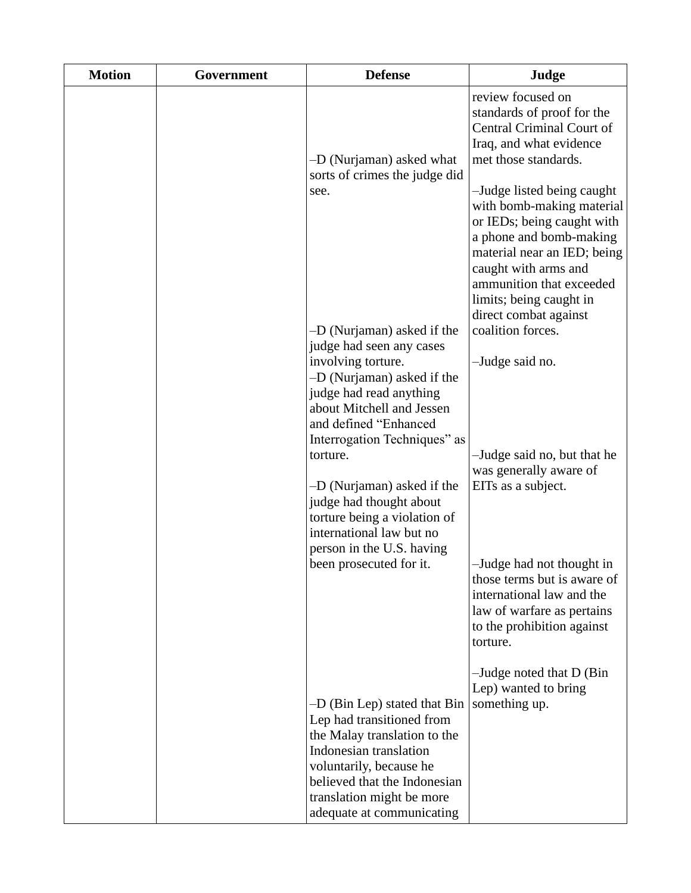| <b>Motion</b> | Government | <b>Defense</b>                                                                                                                                             | Judge                                                                                                                                                                                            |
|---------------|------------|------------------------------------------------------------------------------------------------------------------------------------------------------------|--------------------------------------------------------------------------------------------------------------------------------------------------------------------------------------------------|
|               |            | -D (Nurjaman) asked what<br>sorts of crimes the judge did<br>see.                                                                                          | review focused on<br>standards of proof for the<br>Central Criminal Court of<br>Iraq, and what evidence<br>met those standards.<br>-Judge listed being caught                                    |
|               |            |                                                                                                                                                            | with bomb-making material<br>or IEDs; being caught with<br>a phone and bomb-making<br>material near an IED; being<br>caught with arms and<br>ammunition that exceeded<br>limits; being caught in |
|               |            | -D (Nurjaman) asked if the<br>judge had seen any cases<br>involving torture.<br>-D (Nurjaman) asked if the                                                 | direct combat against<br>coalition forces.<br>-Judge said no.                                                                                                                                    |
|               |            | judge had read anything<br>about Mitchell and Jessen<br>and defined "Enhanced<br>Interrogation Techniques" as                                              |                                                                                                                                                                                                  |
|               |            | torture.<br>-D (Nurjaman) asked if the<br>judge had thought about<br>torture being a violation of<br>international law but no<br>person in the U.S. having | -Judge said no, but that he<br>was generally aware of<br>EITs as a subject.                                                                                                                      |
|               |            | been prosecuted for it.                                                                                                                                    | -Judge had not thought in<br>those terms but is aware of<br>international law and the<br>law of warfare as pertains<br>to the prohibition against<br>torture.                                    |
|               |            | -D (Bin Lep) stated that Bin                                                                                                                               | $-Judge$ noted that D (Bin<br>Lep) wanted to bring<br>something up.                                                                                                                              |
|               |            | Lep had transitioned from<br>the Malay translation to the<br>Indonesian translation<br>voluntarily, because he                                             |                                                                                                                                                                                                  |
|               |            | believed that the Indonesian<br>translation might be more<br>adequate at communicating                                                                     |                                                                                                                                                                                                  |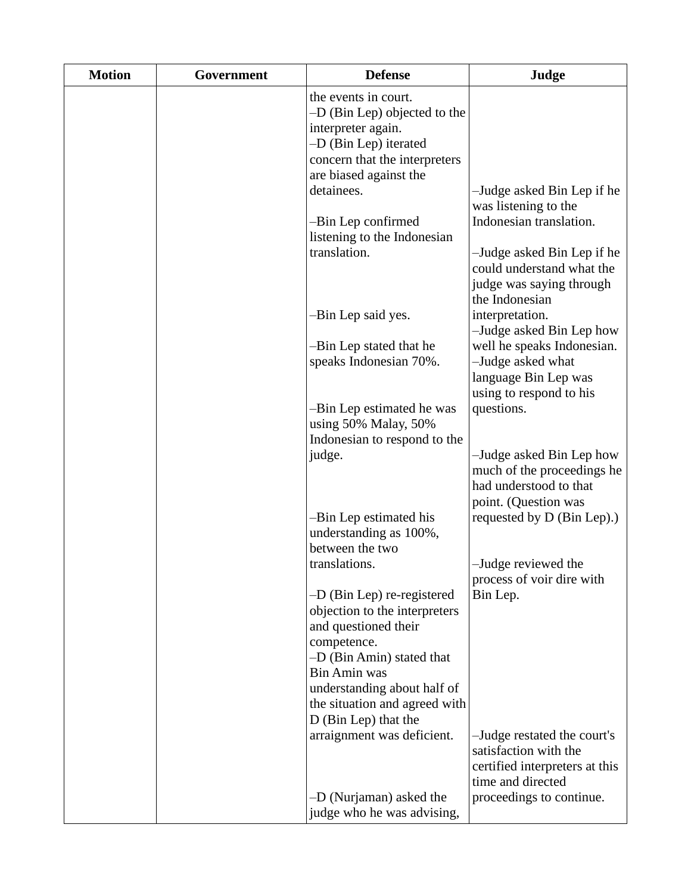| <b>Motion</b> | Government | <b>Defense</b>                                                               | Judge                                                   |
|---------------|------------|------------------------------------------------------------------------------|---------------------------------------------------------|
|               |            | the events in court.<br>$-D$ (Bin Lep) objected to the<br>interpreter again. |                                                         |
|               |            | -D (Bin Lep) iterated                                                        |                                                         |
|               |            | concern that the interpreters                                                |                                                         |
|               |            | are biased against the<br>detainees.                                         |                                                         |
|               |            |                                                                              | -Judge asked Bin Lep if he<br>was listening to the      |
|               |            | -Bin Lep confirmed                                                           | Indonesian translation.                                 |
|               |            | listening to the Indonesian                                                  |                                                         |
|               |            | translation.                                                                 | -Judge asked Bin Lep if he<br>could understand what the |
|               |            |                                                                              | judge was saying through                                |
|               |            |                                                                              | the Indonesian                                          |
|               |            | -Bin Lep said yes.                                                           | interpretation.<br>-Judge asked Bin Lep how             |
|               |            | -Bin Lep stated that he                                                      | well he speaks Indonesian.                              |
|               |            | speaks Indonesian 70%.                                                       | -Judge asked what                                       |
|               |            |                                                                              | language Bin Lep was                                    |
|               |            | -Bin Lep estimated he was                                                    | using to respond to his<br>questions.                   |
|               |            | using 50% Malay, 50%                                                         |                                                         |
|               |            | Indonesian to respond to the                                                 |                                                         |
|               |            | judge.                                                                       | -Judge asked Bin Lep how<br>much of the proceedings he  |
|               |            |                                                                              | had understood to that                                  |
|               |            |                                                                              | point. (Question was                                    |
|               |            | -Bin Lep estimated his<br>understanding as 100%,                             | requested by D (Bin Lep).)                              |
|               |            | between the two                                                              |                                                         |
|               |            | translations.                                                                | -Judge reviewed the                                     |
|               |            | $-D$ (Bin Lep) re-registered                                                 | process of voir dire with<br>Bin Lep.                   |
|               |            | objection to the interpreters                                                |                                                         |
|               |            | and questioned their                                                         |                                                         |
|               |            | competence.<br>-D (Bin Amin) stated that                                     |                                                         |
|               |            | <b>Bin Amin was</b>                                                          |                                                         |
|               |            | understanding about half of                                                  |                                                         |
|               |            | the situation and agreed with<br>D (Bin Lep) that the                        |                                                         |
|               |            | arraignment was deficient.                                                   | -Judge restated the court's                             |
|               |            |                                                                              | satisfaction with the                                   |
|               |            |                                                                              | certified interpreters at this<br>time and directed     |
|               |            | -D (Nurjaman) asked the                                                      | proceedings to continue.                                |
|               |            | judge who he was advising,                                                   |                                                         |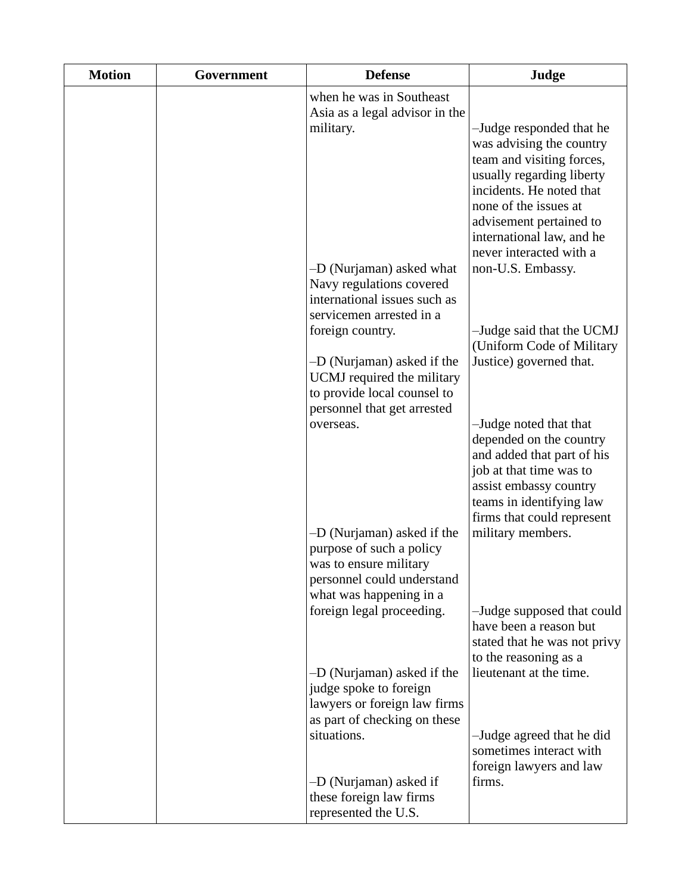| <b>Motion</b> | Government | <b>Defense</b>                                                                                                 | Judge                                                                                                                                                                                                                                                                       |
|---------------|------------|----------------------------------------------------------------------------------------------------------------|-----------------------------------------------------------------------------------------------------------------------------------------------------------------------------------------------------------------------------------------------------------------------------|
|               |            | when he was in Southeast<br>Asia as a legal advisor in the<br>military.<br>-D (Nurjaman) asked what            | -Judge responded that he<br>was advising the country<br>team and visiting forces,<br>usually regarding liberty<br>incidents. He noted that<br>none of the issues at<br>advisement pertained to<br>international law, and he<br>never interacted with a<br>non-U.S. Embassy. |
|               |            | Navy regulations covered<br>international issues such as<br>servicemen arrested in a                           |                                                                                                                                                                                                                                                                             |
|               |            | foreign country.<br>-D (Nurjaman) asked if the                                                                 | -Judge said that the UCMJ<br>(Uniform Code of Military<br>Justice) governed that.                                                                                                                                                                                           |
|               |            | UCMJ required the military<br>to provide local counsel to<br>personnel that get arrested                       |                                                                                                                                                                                                                                                                             |
|               |            | overseas.                                                                                                      | -Judge noted that that<br>depended on the country<br>and added that part of his<br>job at that time was to<br>assist embassy country<br>teams in identifying law<br>firms that could represent                                                                              |
|               |            | -D (Nurjaman) asked if the<br>purpose of such a policy<br>was to ensure military<br>personnel could understand | military members.                                                                                                                                                                                                                                                           |
|               |            | what was happening in a<br>foreign legal proceeding.                                                           | -Judge supposed that could<br>have been a reason but<br>stated that he was not privy<br>to the reasoning as a                                                                                                                                                               |
|               |            | -D (Nurjaman) asked if the<br>judge spoke to foreign<br>lawyers or foreign law firms                           | lieutenant at the time.                                                                                                                                                                                                                                                     |
|               |            | as part of checking on these<br>situations.                                                                    | -Judge agreed that he did<br>sometimes interact with<br>foreign lawyers and law                                                                                                                                                                                             |
|               |            | -D (Nurjaman) asked if<br>these foreign law firms<br>represented the U.S.                                      | firms.                                                                                                                                                                                                                                                                      |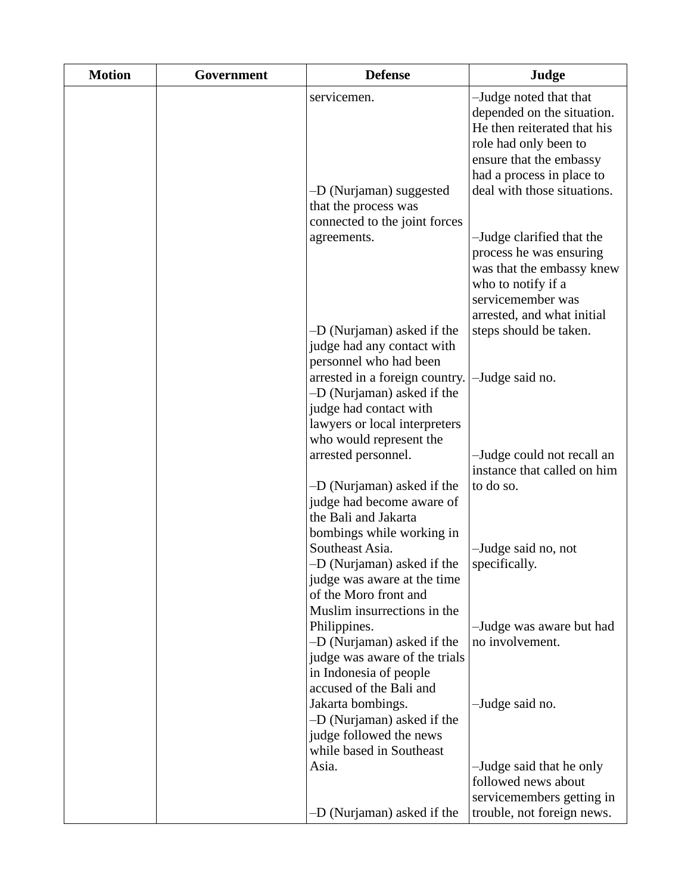| <b>Motion</b> | Government | <b>Defense</b>                                                                                                                       | Judge                                                                                                                                                                                               |
|---------------|------------|--------------------------------------------------------------------------------------------------------------------------------------|-----------------------------------------------------------------------------------------------------------------------------------------------------------------------------------------------------|
|               |            | servicemen.<br>-D (Nurjaman) suggested<br>that the process was                                                                       | -Judge noted that that<br>depended on the situation.<br>He then reiterated that his<br>role had only been to<br>ensure that the embassy<br>had a process in place to<br>deal with those situations. |
|               |            | connected to the joint forces<br>agreements.<br>-D (Nurjaman) asked if the                                                           | -Judge clarified that the<br>process he was ensuring<br>was that the embassy knew<br>who to notify if a<br>servicemember was<br>arrested, and what initial<br>steps should be taken.                |
|               |            | judge had any contact with<br>personnel who had been<br>arrested in a foreign country.                                               | -Judge said no.                                                                                                                                                                                     |
|               |            | -D (Nurjaman) asked if the<br>judge had contact with<br>lawyers or local interpreters<br>who would represent the                     |                                                                                                                                                                                                     |
|               |            | arrested personnel.                                                                                                                  | -Judge could not recall an<br>instance that called on him                                                                                                                                           |
|               |            | -D (Nurjaman) asked if the<br>judge had become aware of<br>the Bali and Jakarta<br>bombings while working in                         | to do so.                                                                                                                                                                                           |
|               |            | Southeast Asia.<br>-D (Nurjaman) asked if the<br>judge was aware at the time<br>of the Moro front and                                | -Judge said no, not<br>specifically.                                                                                                                                                                |
|               |            | Muslim insurrections in the<br>Philippines.<br>-D (Nurjaman) asked if the<br>judge was aware of the trials<br>in Indonesia of people | -Judge was aware but had<br>no involvement.                                                                                                                                                         |
|               |            | accused of the Bali and<br>Jakarta bombings.<br>-D (Nurjaman) asked if the<br>judge followed the news<br>while based in Southeast    | -Judge said no.                                                                                                                                                                                     |
|               |            | Asia.<br>-D (Nurjaman) asked if the                                                                                                  | -Judge said that he only<br>followed news about<br>servicemembers getting in<br>trouble, not foreign news.                                                                                          |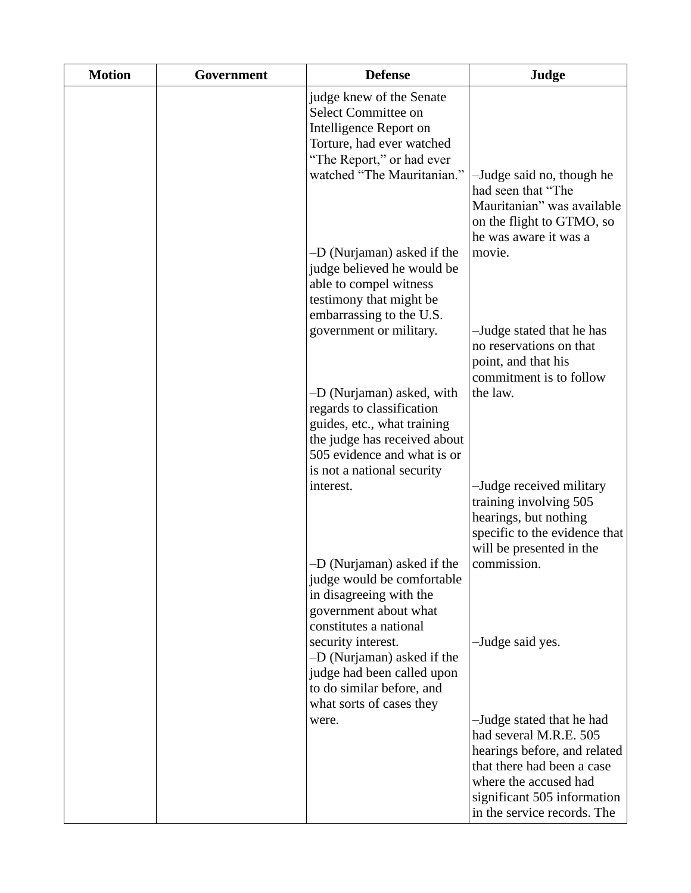| <b>Motion</b> | Government | <b>Defense</b>                                                                                                                                                    | Judge                                                                                                                                                                     |
|---------------|------------|-------------------------------------------------------------------------------------------------------------------------------------------------------------------|---------------------------------------------------------------------------------------------------------------------------------------------------------------------------|
|               |            | judge knew of the Senate<br>Select Committee on<br>Intelligence Report on<br>Torture, had ever watched<br>"The Report," or had ever<br>watched "The Mauritanian." | -Judge said no, though he                                                                                                                                                 |
|               |            |                                                                                                                                                                   | had seen that "The<br>Mauritanian" was available<br>on the flight to GTMO, so<br>he was aware it was a                                                                    |
|               |            | -D (Nurjaman) asked if the<br>judge believed he would be<br>able to compel witness<br>testimony that might be                                                     | movie.                                                                                                                                                                    |
|               |            | embarrassing to the U.S.<br>government or military.                                                                                                               | -Judge stated that he has<br>no reservations on that<br>point, and that his<br>commitment is to follow                                                                    |
|               |            | -D (Nurjaman) asked, with<br>regards to classification<br>guides, etc., what training<br>the judge has received about<br>505 evidence and what is or              | the law.                                                                                                                                                                  |
|               |            | is not a national security<br>interest.                                                                                                                           | -Judge received military<br>training involving 505<br>hearings, but nothing<br>specific to the evidence that<br>will be presented in the                                  |
|               |            | -D (Nurjaman) asked if the<br>judge would be comfortable<br>in disagreeing with the<br>government about what<br>constitutes a national                            | commission.                                                                                                                                                               |
|               |            | security interest.<br>-D (Nurjaman) asked if the<br>judge had been called upon<br>to do similar before, and<br>what sorts of cases they                           | -Judge said yes.                                                                                                                                                          |
|               |            | were.                                                                                                                                                             | -Judge stated that he had<br>had several M.R.E. 505<br>hearings before, and related<br>that there had been a case<br>where the accused had<br>significant 505 information |
|               |            |                                                                                                                                                                   | in the service records. The                                                                                                                                               |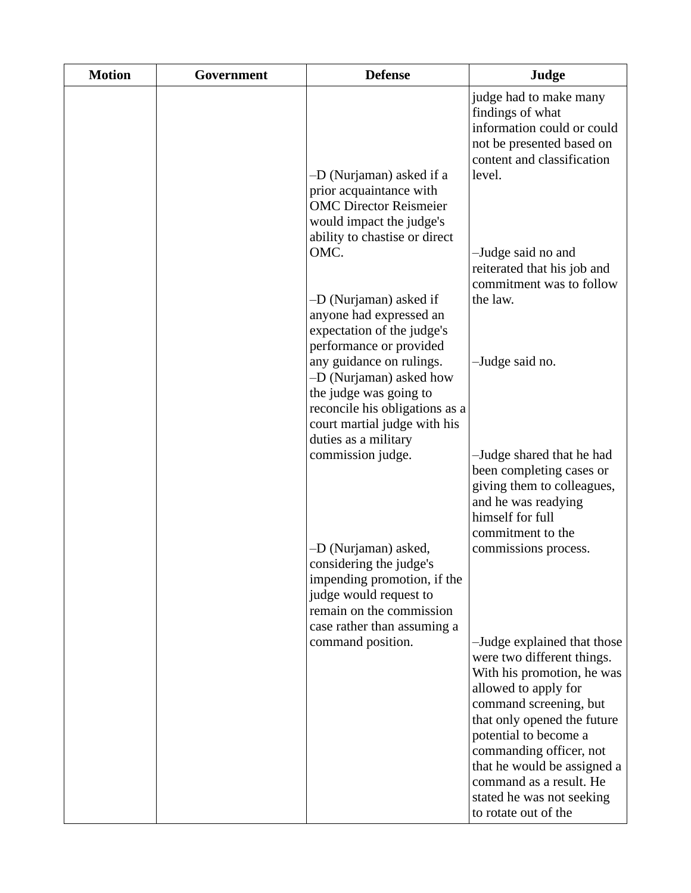| <b>Motion</b> | Government | <b>Defense</b>                                                                                                                                                      | Judge                                                                                                                                         |
|---------------|------------|---------------------------------------------------------------------------------------------------------------------------------------------------------------------|-----------------------------------------------------------------------------------------------------------------------------------------------|
|               |            | -D (Nurjaman) asked if a<br>prior acquaintance with                                                                                                                 | judge had to make many<br>findings of what<br>information could or could<br>not be presented based on<br>content and classification<br>level. |
|               |            | <b>OMC Director Reismeier</b><br>would impact the judge's<br>ability to chastise or direct<br>OMC.                                                                  | -Judge said no and<br>reiterated that his job and<br>commitment was to follow                                                                 |
|               |            | -D (Nurjaman) asked if<br>anyone had expressed an<br>expectation of the judge's<br>performance or provided<br>any guidance on rulings.<br>-D (Nurjaman) asked how   | the law.<br>-Judge said no.                                                                                                                   |
|               |            | the judge was going to<br>reconcile his obligations as a<br>court martial judge with his<br>duties as a military<br>commission judge.                               | -Judge shared that he had                                                                                                                     |
|               |            |                                                                                                                                                                     | been completing cases or<br>giving them to colleagues,<br>and he was readying<br>himself for full<br>commitment to the                        |
|               |            | -D (Nurjaman) asked,<br>considering the judge's<br>impending promotion, if the<br>judge would request to<br>remain on the commission<br>case rather than assuming a | commissions process.                                                                                                                          |
|               |            | command position.                                                                                                                                                   | -Judge explained that those<br>were two different things.<br>With his promotion, he was<br>allowed to apply for<br>command screening, but     |
|               |            |                                                                                                                                                                     | that only opened the future<br>potential to become a<br>commanding officer, not<br>that he would be assigned a<br>command as a result. He     |
|               |            |                                                                                                                                                                     | stated he was not seeking<br>to rotate out of the                                                                                             |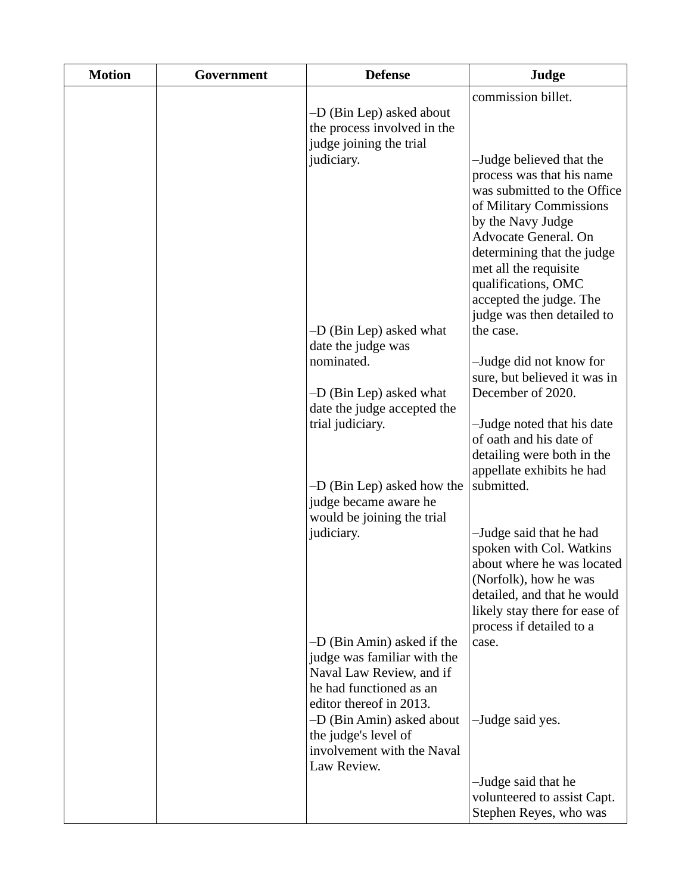| <b>Motion</b> | Government | <b>Defense</b>                                                                                                                                                                                                                 | Judge                                                                                                                                                                                                                                                                                       |
|---------------|------------|--------------------------------------------------------------------------------------------------------------------------------------------------------------------------------------------------------------------------------|---------------------------------------------------------------------------------------------------------------------------------------------------------------------------------------------------------------------------------------------------------------------------------------------|
|               |            | -D (Bin Lep) asked about<br>the process involved in the<br>judge joining the trial<br>judiciary.                                                                                                                               | commission billet.<br>-Judge believed that the<br>process was that his name<br>was submitted to the Office<br>of Military Commissions<br>by the Navy Judge<br>Advocate General. On<br>determining that the judge<br>met all the requisite<br>qualifications, OMC<br>accepted the judge. The |
|               |            | -D (Bin Lep) asked what                                                                                                                                                                                                        | judge was then detailed to<br>the case.                                                                                                                                                                                                                                                     |
|               |            | date the judge was<br>nominated.<br>-D (Bin Lep) asked what<br>date the judge accepted the<br>trial judiciary.                                                                                                                 | -Judge did not know for<br>sure, but believed it was in<br>December of 2020.<br>-Judge noted that his date<br>of oath and his date of<br>detailing were both in the<br>appellate exhibits he had                                                                                            |
|               |            | -D (Bin Lep) asked how the<br>judge became aware he<br>would be joining the trial                                                                                                                                              | submitted.                                                                                                                                                                                                                                                                                  |
|               |            | judiciary.                                                                                                                                                                                                                     | -Judge said that he had<br>spoken with Col. Watkins<br>about where he was located<br>(Norfolk), how he was<br>detailed, and that he would<br>likely stay there for ease of<br>process if detailed to a                                                                                      |
|               |            | -D (Bin Amin) asked if the<br>judge was familiar with the<br>Naval Law Review, and if<br>he had functioned as an<br>editor thereof in 2013.<br>-D (Bin Amin) asked about<br>the judge's level of<br>involvement with the Naval | case.<br>-Judge said yes.                                                                                                                                                                                                                                                                   |
|               |            | Law Review.                                                                                                                                                                                                                    | -Judge said that he<br>volunteered to assist Capt.<br>Stephen Reyes, who was                                                                                                                                                                                                                |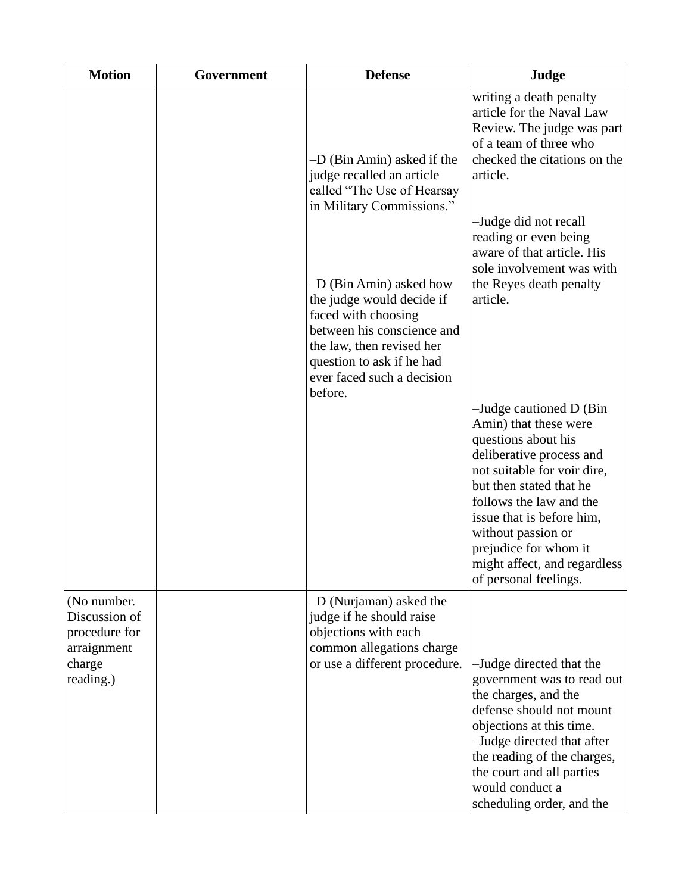| <b>Motion</b>                                                                       | Government | <b>Defense</b>                                                                                                                                                                                               | Judge                                                                                                                                                                                                                                                                                                                                                                                            |
|-------------------------------------------------------------------------------------|------------|--------------------------------------------------------------------------------------------------------------------------------------------------------------------------------------------------------------|--------------------------------------------------------------------------------------------------------------------------------------------------------------------------------------------------------------------------------------------------------------------------------------------------------------------------------------------------------------------------------------------------|
|                                                                                     |            | -D (Bin Amin) asked if the<br>judge recalled an article<br>called "The Use of Hearsay<br>in Military Commissions."                                                                                           | writing a death penalty<br>article for the Naval Law<br>Review. The judge was part<br>of a team of three who<br>checked the citations on the<br>article.                                                                                                                                                                                                                                         |
|                                                                                     |            | -D (Bin Amin) asked how<br>the judge would decide if<br>faced with choosing<br>between his conscience and<br>the law, then revised her<br>question to ask if he had<br>ever faced such a decision<br>before. | -Judge did not recall<br>reading or even being<br>aware of that article. His<br>sole involvement was with<br>the Reyes death penalty<br>article.<br>-Judge cautioned D (Bin)<br>Amin) that these were<br>questions about his<br>deliberative process and<br>not suitable for voir dire,<br>but then stated that he<br>follows the law and the<br>issue that is before him,<br>without passion or |
|                                                                                     |            |                                                                                                                                                                                                              | prejudice for whom it<br>might affect, and regardless<br>of personal feelings.                                                                                                                                                                                                                                                                                                                   |
| (No number.<br>Discussion of<br>procedure for<br>arraignment<br>charge<br>reading.) |            | -D (Nurjaman) asked the<br>judge if he should raise<br>objections with each<br>common allegations charge<br>or use a different procedure.                                                                    | -Judge directed that the<br>government was to read out<br>the charges, and the<br>defense should not mount<br>objections at this time.<br>-Judge directed that after<br>the reading of the charges,<br>the court and all parties<br>would conduct a<br>scheduling order, and the                                                                                                                 |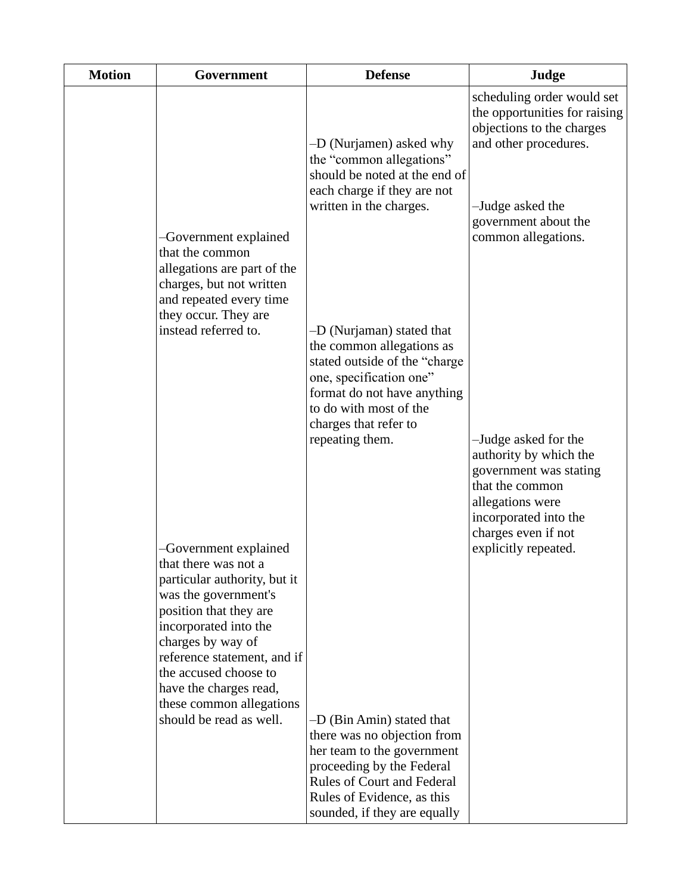| <b>Motion</b> | Government                                                                                                                                                                                                                                                                                                             | <b>Defense</b>                                                                                                                                                                                                          | Judge                                                                                                                                                                                |
|---------------|------------------------------------------------------------------------------------------------------------------------------------------------------------------------------------------------------------------------------------------------------------------------------------------------------------------------|-------------------------------------------------------------------------------------------------------------------------------------------------------------------------------------------------------------------------|--------------------------------------------------------------------------------------------------------------------------------------------------------------------------------------|
|               | -Government explained<br>that the common                                                                                                                                                                                                                                                                               | -D (Nurjamen) asked why<br>the "common allegations"<br>should be noted at the end of<br>each charge if they are not<br>written in the charges.                                                                          | scheduling order would set<br>the opportunities for raising<br>objections to the charges<br>and other procedures.<br>-Judge asked the<br>government about the<br>common allegations. |
|               | allegations are part of the<br>charges, but not written<br>and repeated every time<br>they occur. They are<br>instead referred to.                                                                                                                                                                                     | -D (Nurjaman) stated that<br>the common allegations as<br>stated outside of the "charge<br>one, specification one"<br>format do not have anything<br>to do with most of the<br>charges that refer to<br>repeating them. | -Judge asked for the<br>authority by which the<br>government was stating<br>that the common<br>allegations were<br>incorporated into the<br>charges even if not                      |
|               | -Government explained<br>that there was not a<br>particular authority, but it<br>was the government's<br>position that they are<br>incorporated into the<br>charges by way of<br>reference statement, and if<br>the accused choose to<br>have the charges read,<br>these common allegations<br>should be read as well. | -D (Bin Amin) stated that<br>there was no objection from<br>her team to the government<br>proceeding by the Federal<br><b>Rules of Court and Federal</b><br>Rules of Evidence, as this<br>sounded, if they are equally  | explicitly repeated.                                                                                                                                                                 |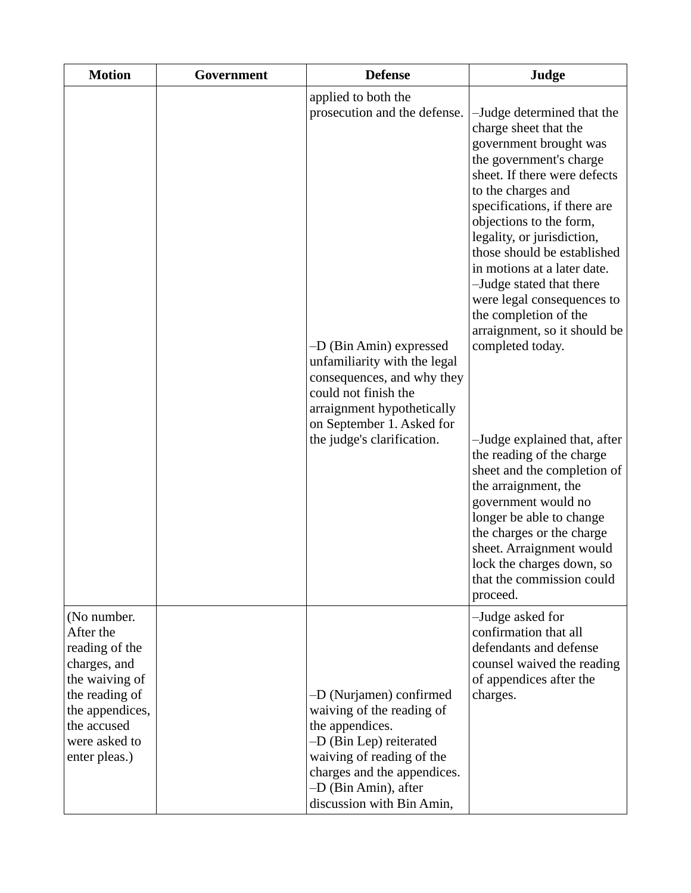| <b>Motion</b>                                                                                                                                                      | Government | <b>Defense</b>                                                                                                                                                                                                                                                | Judge                                                                                                                                                                                                                                                                                                                                                                                                                                                                                                                                                                                                                                                                                                                                                              |
|--------------------------------------------------------------------------------------------------------------------------------------------------------------------|------------|---------------------------------------------------------------------------------------------------------------------------------------------------------------------------------------------------------------------------------------------------------------|--------------------------------------------------------------------------------------------------------------------------------------------------------------------------------------------------------------------------------------------------------------------------------------------------------------------------------------------------------------------------------------------------------------------------------------------------------------------------------------------------------------------------------------------------------------------------------------------------------------------------------------------------------------------------------------------------------------------------------------------------------------------|
|                                                                                                                                                                    |            | applied to both the<br>prosecution and the defense.<br>-D (Bin Amin) expressed<br>unfamiliarity with the legal<br>consequences, and why they<br>could not finish the<br>arraignment hypothetically<br>on September 1. Asked for<br>the judge's clarification. | -Judge determined that the<br>charge sheet that the<br>government brought was<br>the government's charge<br>sheet. If there were defects<br>to the charges and<br>specifications, if there are<br>objections to the form,<br>legality, or jurisdiction,<br>those should be established<br>in motions at a later date.<br>-Judge stated that there<br>were legal consequences to<br>the completion of the<br>arraignment, so it should be<br>completed today.<br>-Judge explained that, after<br>the reading of the charge<br>sheet and the completion of<br>the arraignment, the<br>government would no<br>longer be able to change<br>the charges or the charge<br>sheet. Arraignment would<br>lock the charges down, so<br>that the commission could<br>proceed. |
| (No number.<br>After the<br>reading of the<br>charges, and<br>the waiving of<br>the reading of<br>the appendices,<br>the accused<br>were asked to<br>enter pleas.) |            | -D (Nurjamen) confirmed<br>waiving of the reading of<br>the appendices.<br>-D (Bin Lep) reiterated<br>waiving of reading of the<br>charges and the appendices.<br>-D (Bin Amin), after<br>discussion with Bin Amin,                                           | -Judge asked for<br>confirmation that all<br>defendants and defense<br>counsel waived the reading<br>of appendices after the<br>charges.                                                                                                                                                                                                                                                                                                                                                                                                                                                                                                                                                                                                                           |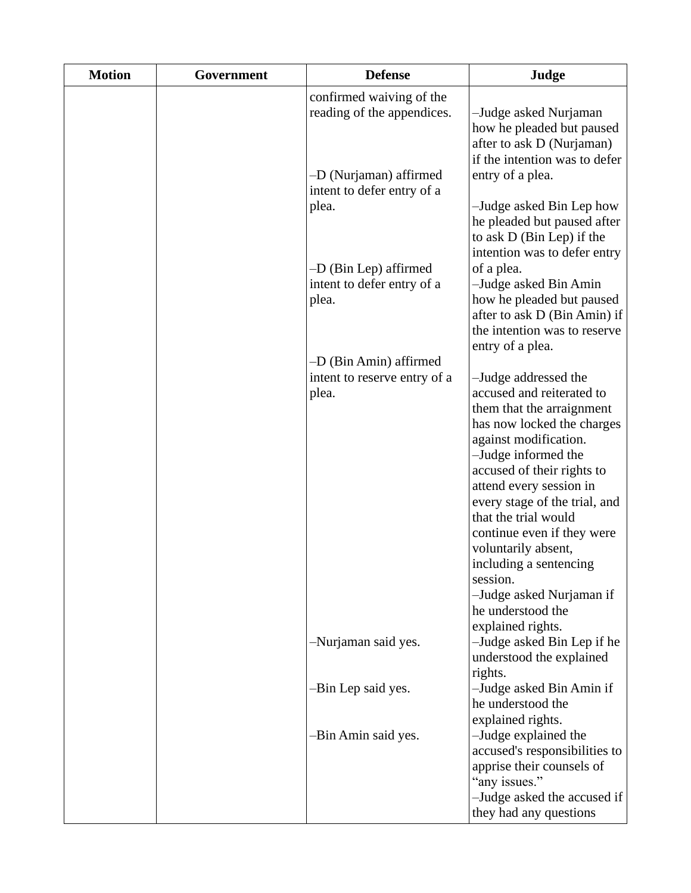| <b>Motion</b> | Government | <b>Defense</b>                                                 | Judge                                                                                                                                                                                                                                                                                                                                                         |
|---------------|------------|----------------------------------------------------------------|---------------------------------------------------------------------------------------------------------------------------------------------------------------------------------------------------------------------------------------------------------------------------------------------------------------------------------------------------------------|
|               |            | confirmed waiving of the<br>reading of the appendices.         | -Judge asked Nurjaman<br>how he pleaded but paused<br>after to ask D (Nurjaman)<br>if the intention was to defer                                                                                                                                                                                                                                              |
|               |            | -D (Nurjaman) affirmed<br>intent to defer entry of a<br>plea.  | entry of a plea.<br>-Judge asked Bin Lep how                                                                                                                                                                                                                                                                                                                  |
|               |            |                                                                | he pleaded but paused after<br>to ask D (Bin Lep) if the<br>intention was to defer entry                                                                                                                                                                                                                                                                      |
|               |            | $-D$ (Bin Lep) affirmed<br>intent to defer entry of a<br>plea. | of a plea.<br>-Judge asked Bin Amin<br>how he pleaded but paused<br>after to ask D (Bin Amin) if<br>the intention was to reserve                                                                                                                                                                                                                              |
|               |            | -D (Bin Amin) affirmed                                         | entry of a plea.                                                                                                                                                                                                                                                                                                                                              |
|               |            | intent to reserve entry of a<br>plea.                          | -Judge addressed the<br>accused and reiterated to<br>them that the arraignment<br>has now locked the charges<br>against modification.<br>-Judge informed the<br>accused of their rights to<br>attend every session in<br>every stage of the trial, and<br>that the trial would<br>continue even if they were<br>voluntarily absent,<br>including a sentencing |
|               |            |                                                                | session.<br>-Judge asked Nurjaman if<br>he understood the                                                                                                                                                                                                                                                                                                     |
|               |            | -Nurjaman said yes.                                            | explained rights.<br>-Judge asked Bin Lep if he<br>understood the explained<br>rights.                                                                                                                                                                                                                                                                        |
|               |            | -Bin Lep said yes.                                             | -Judge asked Bin Amin if<br>he understood the<br>explained rights.                                                                                                                                                                                                                                                                                            |
|               |            | -Bin Amin said yes.                                            | -Judge explained the<br>accused's responsibilities to<br>apprise their counsels of<br>"any issues."<br>-Judge asked the accused if<br>they had any questions                                                                                                                                                                                                  |